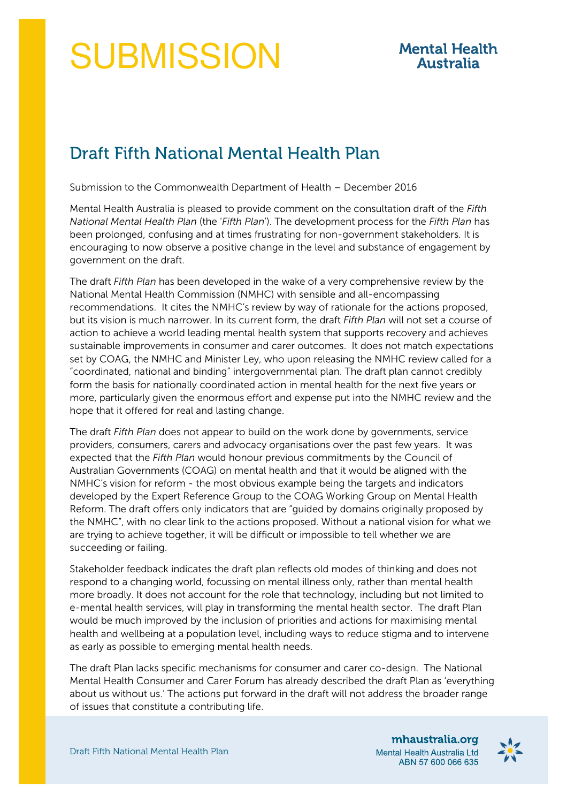## **SUBMISSION**

## **Mental Health Australia**

## Draft Fifth National Mental Health Plan

Submission to the Commonwealth Department of Health – December 2016

Mental Health Australia is pleased to provide comment on the consultation draft of the *Fifth National Mental Health Plan* (the '*Fifth Plan*'). The development process for the *Fifth Plan* has been prolonged, confusing and at times frustrating for non-government stakeholders. It is encouraging to now observe a positive change in the level and substance of engagement by government on the draft.

The draft *Fifth Plan* has been developed in the wake of a very comprehensive review by the National Mental Health Commission (NMHC) with sensible and all-encompassing recommendations. It cites the NMHC's review by way of rationale for the actions proposed, but its vision is much narrower. In its current form, the draft *Fifth Plan* will not set a course of action to achieve a world leading mental health system that supports recovery and achieves sustainable improvements in consumer and carer outcomes. It does not match expectations set by COAG, the NMHC and Minister Ley, who upon releasing the NMHC review called for a "coordinated, national and binding" intergovernmental plan. The draft plan cannot credibly form the basis for nationally coordinated action in mental health for the next five years or more, particularly given the enormous effort and expense put into the NMHC review and the hope that it offered for real and lasting change.

The draft *Fifth Plan* does not appear to build on the work done by governments, service providers, consumers, carers and advocacy organisations over the past few years. It was expected that the *Fifth Plan* would honour previous commitments by the Council of Australian Governments (COAG) on mental health and that it would be aligned with the NMHC's vision for reform - the most obvious example being the targets and indicators developed by the Expert Reference Group to the COAG Working Group on Mental Health Reform. The draft offers only indicators that are "guided by domains originally proposed by the NMHC", with no clear link to the actions proposed. Without a national vision for what we are trying to achieve together, it will be difficult or impossible to tell whether we are succeeding or failing.

Stakeholder feedback indicates the draft plan reflects old modes of thinking and does not respond to a changing world, focussing on mental illness only, rather than mental health more broadly. It does not account for the role that technology, including but not limited to e-mental health services, will play in transforming the mental health sector. The draft Plan would be much improved by the inclusion of priorities and actions for maximising mental health and wellbeing at a population level, including ways to reduce stigma and to intervene as early as possible to emerging mental health needs.

The draft Plan lacks specific mechanisms for consumer and carer co-design. The National Mental Health Consumer and Carer Forum has already described the draft Plan as 'everything about us without us.' The actions put forward in the draft will not address the broader range of issues that constitute a contributing life.

mhaustralia.org Mental Health Australia Ltd ABN 57 600 066 635